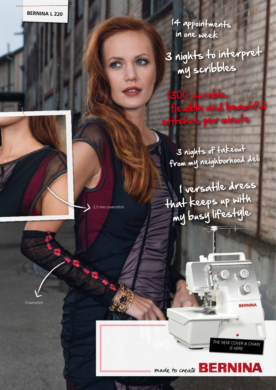14 appointments in one week

1300 durable,

3 nights to interpret my scribbles

 3 nights of takeout from my neighborhood deli

**flexible and beautiful** 

ches per minute

 1 versatile dress that keeps up with my busy lifestyle

2,5 mm coverstitch

Chainstitch



 $\circledcirc$ 

 $\mathbb{C}^n$ 

 $(0)$ 

**RERNINA** 

*THE NEW COVER & CHAIN IS HERE*

 $\overline{A}$